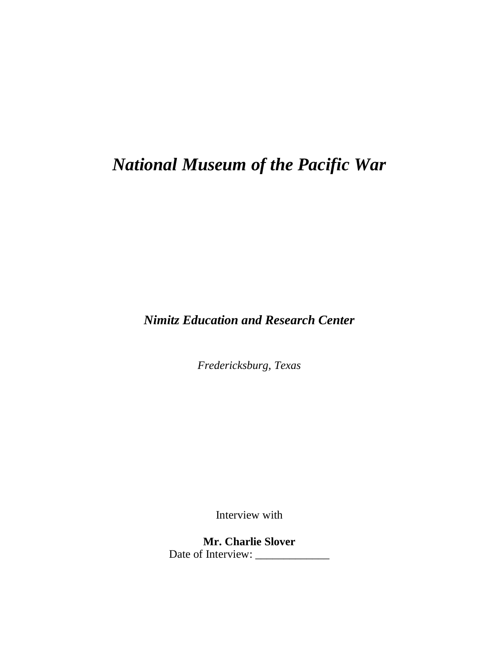## *National Museum of the Pacific War*

*Nimitz Education and Research Center*

*Fredericksburg, Texas*

Interview with

**Mr. Charlie Slover** Date of Interview: \_\_\_\_\_\_\_\_\_\_\_\_\_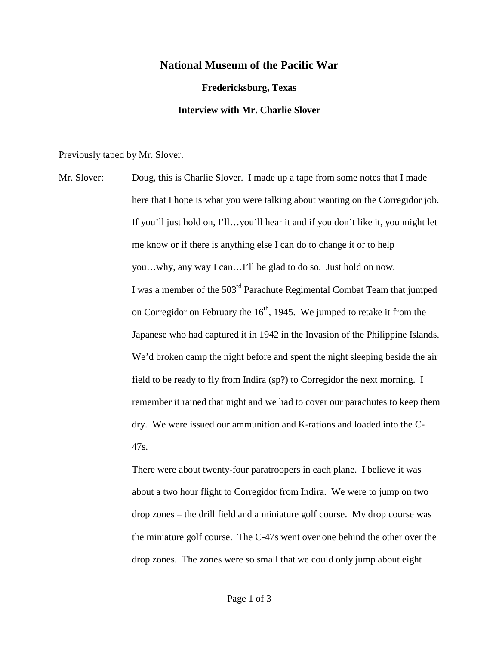## **National Museum of the Pacific War**

**Fredericksburg, Texas Interview with Mr. Charlie Slover**

Previously taped by Mr. Slover.

Mr. Slover: Doug, this is Charlie Slover. I made up a tape from some notes that I made here that I hope is what you were talking about wanting on the Corregidor job. If you'll just hold on, I'll…you'll hear it and if you don't like it, you might let me know or if there is anything else I can do to change it or to help you…why, any way I can…I'll be glad to do so. Just hold on now. I was a member of the 503<sup>rd</sup> Parachute Regimental Combat Team that jumped on Corregidor on February the  $16<sup>th</sup>$ , 1945. We jumped to retake it from the Japanese who had captured it in 1942 in the Invasion of the Philippine Islands. We'd broken camp the night before and spent the night sleeping beside the air field to be ready to fly from Indira (sp?) to Corregidor the next morning. I remember it rained that night and we had to cover our parachutes to keep them dry. We were issued our ammunition and K-rations and loaded into the C-47s.

> There were about twenty-four paratroopers in each plane. I believe it was about a two hour flight to Corregidor from Indira. We were to jump on two drop zones – the drill field and a miniature golf course. My drop course was the miniature golf course. The C-47s went over one behind the other over the drop zones. The zones were so small that we could only jump about eight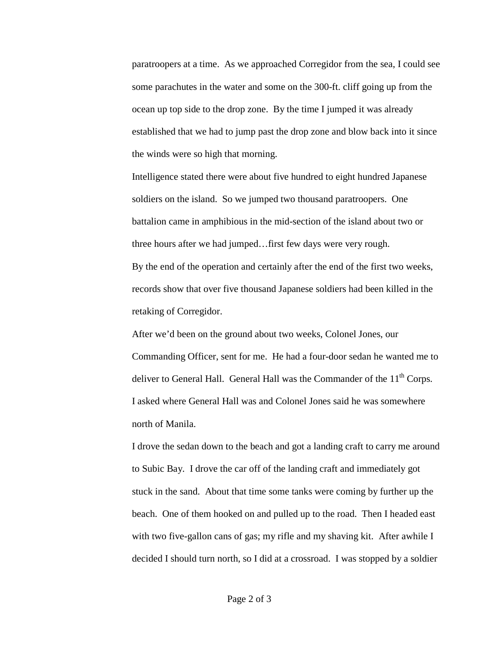paratroopers at a time. As we approached Corregidor from the sea, I could see some parachutes in the water and some on the 300-ft. cliff going up from the ocean up top side to the drop zone. By the time I jumped it was already established that we had to jump past the drop zone and blow back into it since the winds were so high that morning.

Intelligence stated there were about five hundred to eight hundred Japanese soldiers on the island. So we jumped two thousand paratroopers. One battalion came in amphibious in the mid-section of the island about two or three hours after we had jumped…first few days were very rough. By the end of the operation and certainly after the end of the first two weeks, records show that over five thousand Japanese soldiers had been killed in the retaking of Corregidor.

After we'd been on the ground about two weeks, Colonel Jones, our Commanding Officer, sent for me. He had a four-door sedan he wanted me to deliver to General Hall. General Hall was the Commander of the  $11<sup>th</sup>$  Corps. I asked where General Hall was and Colonel Jones said he was somewhere north of Manila.

I drove the sedan down to the beach and got a landing craft to carry me around to Subic Bay. I drove the car off of the landing craft and immediately got stuck in the sand. About that time some tanks were coming by further up the beach. One of them hooked on and pulled up to the road. Then I headed east with two five-gallon cans of gas; my rifle and my shaving kit. After awhile I decided I should turn north, so I did at a crossroad. I was stopped by a soldier